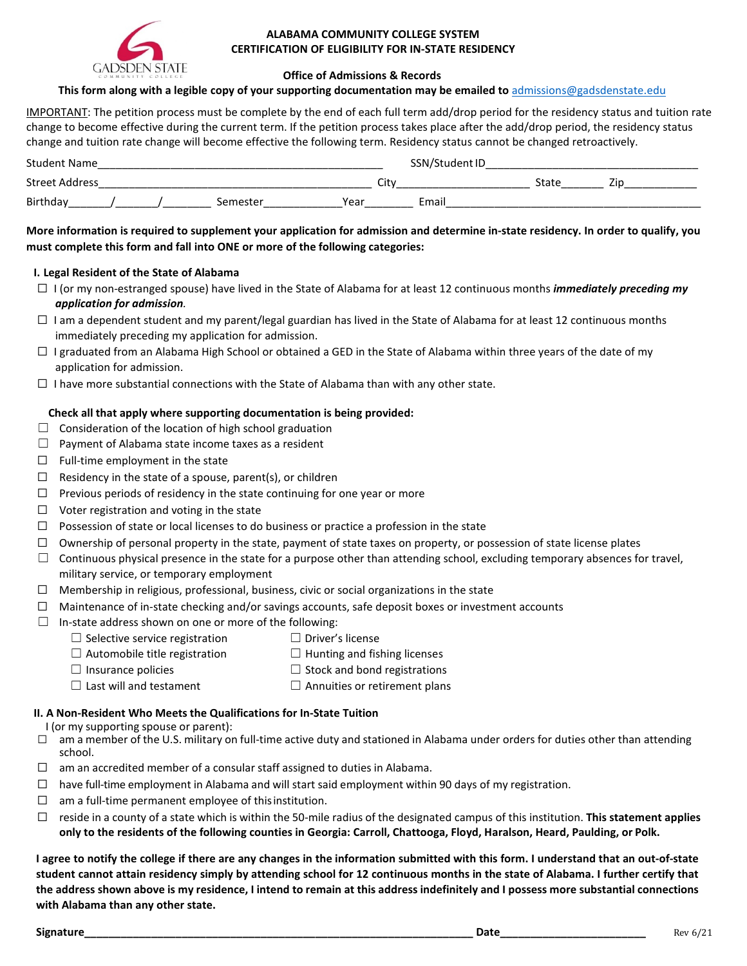

## **ALABAMA COMMUNITY COLLEGE SYSTEM CERTIFICATION OF ELIGIBILITY FOR IN-STATE RESIDENCY**

#### **Office of Admissions & Records**

#### **This form along with a legible copy of your supporting documentation may be emailed to** [admissions@gadsdenstate.edu](mailto:admissions@gadsdenstate.edu)

IMPORTANT: The petition process must be complete by the end of each full term add/drop period for the residency status and tuition rate change to become effective during the current term. If the petition process takes place after the add/drop period, the residency status change and tuition rate change will become effective the following term. Residency status cannot be changed retroactively.

| <b>Student Name</b> |  |  |  |      |       | SSN/Student ID |  |  |  |  |
|---------------------|--|--|--|------|-------|----------------|--|--|--|--|
| Street Address      |  |  |  | City |       |                |  |  |  |  |
| Birthday            |  |  |  | Yeaı | Email |                |  |  |  |  |

## **More information is required to supplement your application for admission and determine in-state residency. In order to qualify, you must complete this form and fall into ONE or more of the following categories:**

#### **I. Legal Resident of the State of Alabama**

- ☐ I (or my non-estranged spouse) have lived in the State of Alabama for at least 12 continuous months *immediately preceding my application for admission.*
- $\Box$  I am a dependent student and my parent/legal guardian has lived in the State of Alabama for at least 12 continuous months immediately preceding my application for admission.
- $\Box$  I graduated from an Alabama High School or obtained a GED in the State of Alabama within three years of the date of my application for admission.
- $\Box$  I have more substantial connections with the State of Alabama than with any other state.

## **Check all that apply where supporting documentation is being provided:**

- $\Box$  Consideration of the location of high school graduation
- $\Box$  Payment of Alabama state income taxes as a resident
- $\Box$  Full-time employment in the state
- $\Box$  Residency in the state of a spouse, parent(s), or children
- $\Box$  Previous periods of residency in the state continuing for one year or more
- ☐ Voter registration and voting in the state
- $\Box$  Possession of state or local licenses to do business or practice a profession in the state
- $\Box$  Ownership of personal property in the state, payment of state taxes on property, or possession of state license plates
- $\Box$  Continuous physical presence in the state for a purpose other than attending school, excluding temporary absences for travel, military service, or temporary employment
- $\Box$  Membership in religious, professional, business, civic or social organizations in the state
- $\Box$  Maintenance of in-state checking and/or savings accounts, safe deposit boxes or investment accounts
- $\Box$  In-state address shown on one or more of the following:
	- ☐ Selective service registration ☐ Driver's license
	- $\Box$  Automobile title registration  $\Box$  Hunting and fishing licenses
	- $\Box$  Insurance policies  $\Box$  Stock and bond registrations
	- $\Box$  Last will and testament  $\Box$  Annuities or retirement plans

## **II. A Non-Resident Who Meets the Qualifications for In-State Tuition**

I (or my supporting spouse or parent):

- $\Box$  am a member of the U.S. military on full-time active duty and stationed in Alabama under orders for duties other than attending school.
- $\Box$  am an accredited member of a consular staff assigned to duties in Alabama.
- ☐ have full-time employment in Alabama and will start said employment within 90 days of my registration.
- $\Box$  am a full-time permanent employee of this institution.
- ☐ reside in a county of a state which is within the 50-mile radius of the designated campus of this institution. **This statement applies only to the residents of the following counties in Georgia: Carroll, Chattooga, Floyd, Haralson, Heard, Paulding, or Polk.**

**I agree to notify the college if there are any changes in the information submitted with this form. I understand that an out-of-state student cannot attain residency simply by attending school for 12 continuous months in the state of Alabama. I further certify that the address shown above is my residence, I intend to remain at this address indefinitely and I possess more substantial connections with Alabama than any other state.**

**Signature\_\_\_\_\_\_\_\_\_\_\_\_\_\_\_\_\_\_\_\_\_\_\_\_\_\_\_\_\_\_\_\_\_\_\_\_\_\_\_\_\_\_\_\_\_\_\_\_\_\_\_\_\_\_\_\_\_\_\_\_\_\_\_\_ Date\_\_\_\_\_\_\_\_\_\_\_\_\_\_\_\_\_\_\_\_\_\_\_\_** Rev 6/21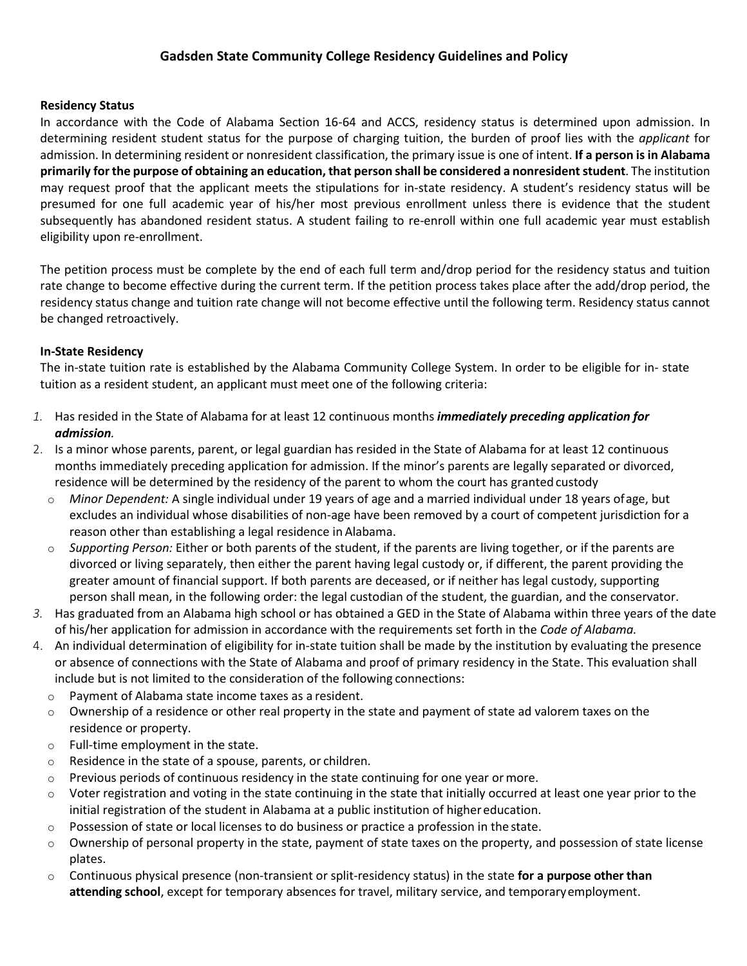# **Gadsden State Community College Residency Guidelines and Policy**

## **Residency Status**

In accordance with the Code of Alabama Section 16-64 and ACCS, residency status is determined upon admission. In determining resident student status for the purpose of charging tuition, the burden of proof lies with the *applicant* for admission. In determining resident or nonresident classification, the primary issue is one of intent. **If a person is in Alabama primarily for the purpose of obtaining an education, that person shall be considered a nonresident student**. The institution may request proof that the applicant meets the stipulations for in-state residency. A student's residency status will be presumed for one full academic year of his/her most previous enrollment unless there is evidence that the student subsequently has abandoned resident status. A student failing to re-enroll within one full academic year must establish eligibility upon re-enrollment.

The petition process must be complete by the end of each full term and/drop period for the residency status and tuition rate change to become effective during the current term. If the petition process takes place after the add/drop period, the residency status change and tuition rate change will not become effective until the following term. Residency status cannot be changed retroactively.

# **In-State Residency**

The in-state tuition rate is established by the Alabama Community College System. In order to be eligible for in- state tuition as a resident student, an applicant must meet one of the following criteria:

- *1.* Has resided in the State of Alabama for at least 12 continuous months *immediately preceding application for admission.*
- 2. Is a minor whose parents, parent, or legal guardian has resided in the State of Alabama for at least 12 continuous months immediately preceding application for admission. If the minor's parents are legally separated or divorced, residence will be determined by the residency of the parent to whom the court has granted custody
	- o *Minor Dependent:* A single individual under 19 years of age and a married individual under 18 years ofage, but excludes an individual whose disabilities of non-age have been removed by a court of competent jurisdiction for a reason other than establishing a legal residence in Alabama.
	- o *Supporting Person:* Either or both parents of the student, if the parents are living together, or if the parents are divorced or living separately, then either the parent having legal custody or, if different, the parent providing the greater amount of financial support. If both parents are deceased, or if neither has legal custody, supporting person shall mean, in the following order: the legal custodian of the student, the guardian, and the conservator.
- *3.* Has graduated from an Alabama high school or has obtained a GED in the State of Alabama within three years of the date of his/her application for admission in accordance with the requirements set forth in the *Code of Alabama.*
- 4. An individual determination of eligibility for in-state tuition shall be made by the institution by evaluating the presence or absence of connections with the State of Alabama and proof of primary residency in the State. This evaluation shall include but is not limited to the consideration of the following connections:
	- o Payment of Alabama state income taxes as a resident.
	- $\circ$  Ownership of a residence or other real property in the state and payment of state ad valorem taxes on the residence or property.
	- o Full-time employment in the state.
	- o Residence in the state of a spouse, parents, or children.
	- $\circ$  Previous periods of continuous residency in the state continuing for one year or more.
	- o Voter registration and voting in the state continuing in the state that initially occurred at least one year prior to the initial registration of the student in Alabama at a public institution of higher education.
	- $\circ$  Possession of state or local licenses to do business or practice a profession in the state.
	- $\circ$  Ownership of personal property in the state, payment of state taxes on the property, and possession of state license plates.
	- o Continuous physical presence (non-transient or split-residency status) in the state **for a purpose other than attending school**, except for temporary absences for travel, military service, and temporaryemployment.